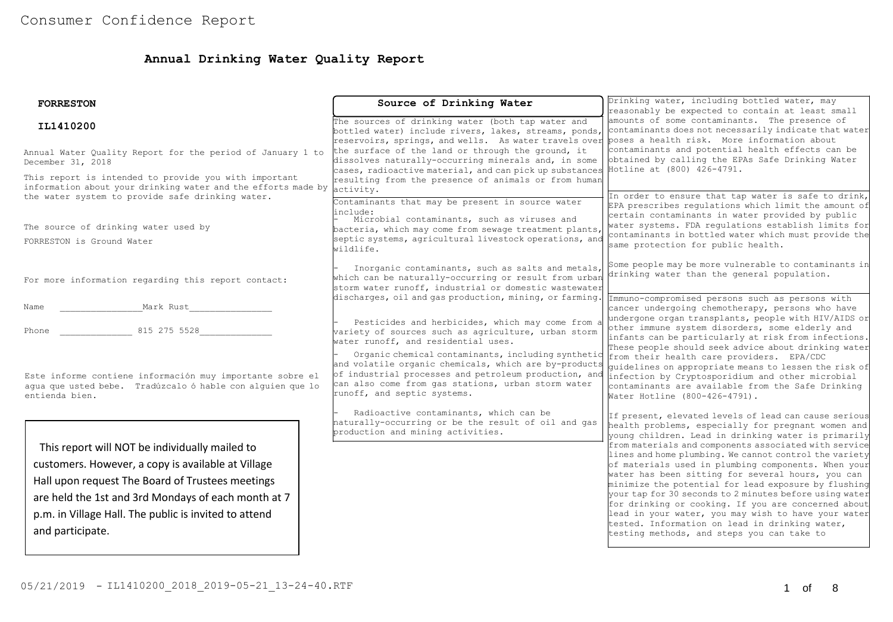# **Annual Drinking Water Quality Report**

| <b>FORRESTON</b>                                                                                                                                                                                                                                                                             | Source of Drinking Water                                                                                                                                                                                                                                  | Drinking water, including bottled water, may<br>reasonably be expected to contain at least small<br>amounts of some contaminants. The presence of<br>contaminants does not necessarily indicate that water                                                                                                                                                                                                                                                                                                                                                                                                                                                                                                                         |  |  |
|----------------------------------------------------------------------------------------------------------------------------------------------------------------------------------------------------------------------------------------------------------------------------------------------|-----------------------------------------------------------------------------------------------------------------------------------------------------------------------------------------------------------------------------------------------------------|------------------------------------------------------------------------------------------------------------------------------------------------------------------------------------------------------------------------------------------------------------------------------------------------------------------------------------------------------------------------------------------------------------------------------------------------------------------------------------------------------------------------------------------------------------------------------------------------------------------------------------------------------------------------------------------------------------------------------------|--|--|
| IL1410200                                                                                                                                                                                                                                                                                    | The sources of drinking water (both tap water and<br>bottled water) include rivers, lakes, streams, ponds,<br>reservoirs, springs, and wells. As water travels over poses a health risk. More information about                                           |                                                                                                                                                                                                                                                                                                                                                                                                                                                                                                                                                                                                                                                                                                                                    |  |  |
| Annual Water Quality Report for the period of January 1 to<br>December 31, 2018                                                                                                                                                                                                              | the surface of the land or through the ground, it<br>dissolves naturally-occurring minerals and, in some<br>cases, radioactive material, and can pick up substances                                                                                       | contaminants and potential health effects can be<br>obtained by calling the EPAs Safe Drinking Water<br>Hotline at (800) 426-4791.                                                                                                                                                                                                                                                                                                                                                                                                                                                                                                                                                                                                 |  |  |
| This report is intended to provide you with important<br>information about your drinking water and the efforts made by<br>the water system to provide safe drinking water.                                                                                                                   | resulting from the presence of animals or from human<br>activity.<br>Contaminants that may be present in source water                                                                                                                                     | In order to ensure that tap water is safe to drink,<br>EPA prescribes regulations which limit the amount of                                                                                                                                                                                                                                                                                                                                                                                                                                                                                                                                                                                                                        |  |  |
| The source of drinking water used by<br>FORRESTON is Ground Water                                                                                                                                                                                                                            | linclude:<br>Microbial contaminants, such as viruses and<br>bacteria, which may come from sewage treatment plants,<br>septic systems, agricultural livestock operations, and<br>wildlife.                                                                 | certain contaminants in water provided by public<br>water systems. FDA regulations establish limits for<br>contaminants in bottled water which must provide the<br>same protection for public health.                                                                                                                                                                                                                                                                                                                                                                                                                                                                                                                              |  |  |
| For more information regarding this report contact:                                                                                                                                                                                                                                          | Inorganic contaminants, such as salts and metals,<br>which can be naturally-occurring or result from urban<br>storm water runoff, industrial or domestic wastewater<br>discharges, oil and gas production, mining, or farming.                            | Some people may be more vulnerable to contaminants in<br>drinking water than the general population.                                                                                                                                                                                                                                                                                                                                                                                                                                                                                                                                                                                                                               |  |  |
| Mark Rust<br>Name<br>815 275 5528<br>Phone                                                                                                                                                                                                                                                   | Pesticides and herbicides, which may come from a<br>variety of sources such as agriculture, urban storm<br>water runoff, and residential uses.                                                                                                            | Immuno-compromised persons such as persons with<br>cancer undergoing chemotherapy, persons who have<br>undergone organ transplants, people with HIV/AIDS or<br>other immune system disorders, some elderly and<br>infants can be particularly at risk from infections.<br>These people should seek advice about drinking water                                                                                                                                                                                                                                                                                                                                                                                                     |  |  |
| Este informe contiene información muy importante sobre el<br>aqua que usted bebe. Tradúzcalo ó hable con alquien que lo<br>entienda bien.                                                                                                                                                    | Organic chemical contaminants, including synthetic<br>and volatile organic chemicals, which are by-products<br>of industrial processes and petroleum production, and<br>can also come from gas stations, urban storm water<br>runoff, and septic systems. | from their health care providers. EPA/CDC<br>quidelines on appropriate means to lessen the risk of<br>infection by Cryptosporidium and other microbial<br>contaminants are available from the Safe Drinking<br>Water Hotline (800-426-4791).                                                                                                                                                                                                                                                                                                                                                                                                                                                                                       |  |  |
| This report will NOT be individually mailed to<br>customers. However, a copy is available at Village<br>Hall upon request The Board of Trustees meetings<br>are held the 1st and 3rd Mondays of each month at 7<br>p.m. in Village Hall. The public is invited to attend<br>and participate. | Radioactive contaminants, which can be<br>naturally-occurring or be the result of oil and gas<br>production and mining activities.                                                                                                                        | If present, elevated levels of lead can cause serious<br>health problems, especially for pregnant women and<br>young children. Lead in drinking water is primarily<br>from materials and components associated with service<br>lines and home plumbing. We cannot control the variety<br>of materials used in plumbing components. When your<br>water has been sitting for several hours, you can<br>minimize the potential for lead exposure by flushing<br>your tap for 30 seconds to 2 minutes before using water<br>for drinking or cooking. If you are concerned about<br>lead in your water, you may wish to have your water<br>tested. Information on lead in drinking water,<br>testing methods, and steps you can take to |  |  |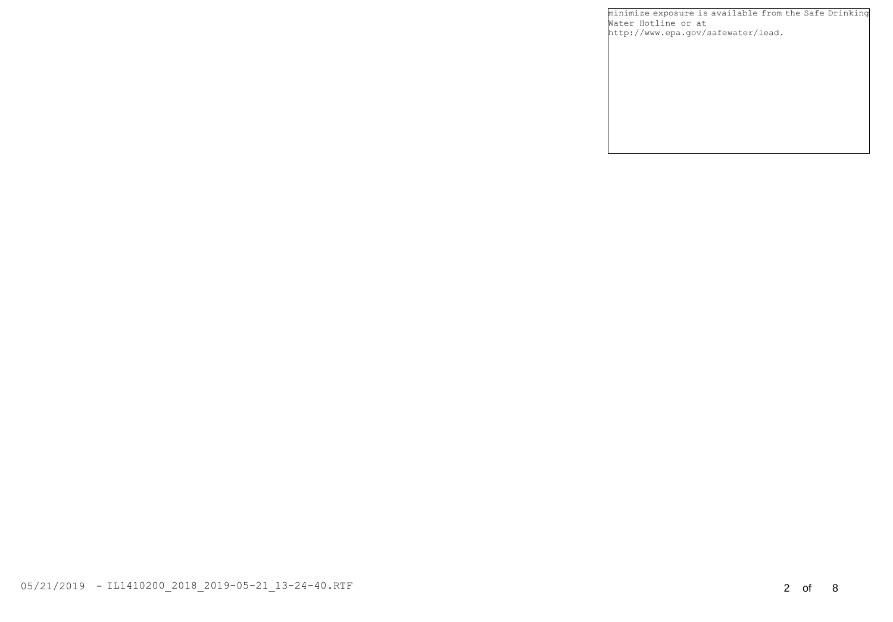minimize exposure is available from the Safe Drinking Water Hotline or at http://www.epa.gov/safewater/lead.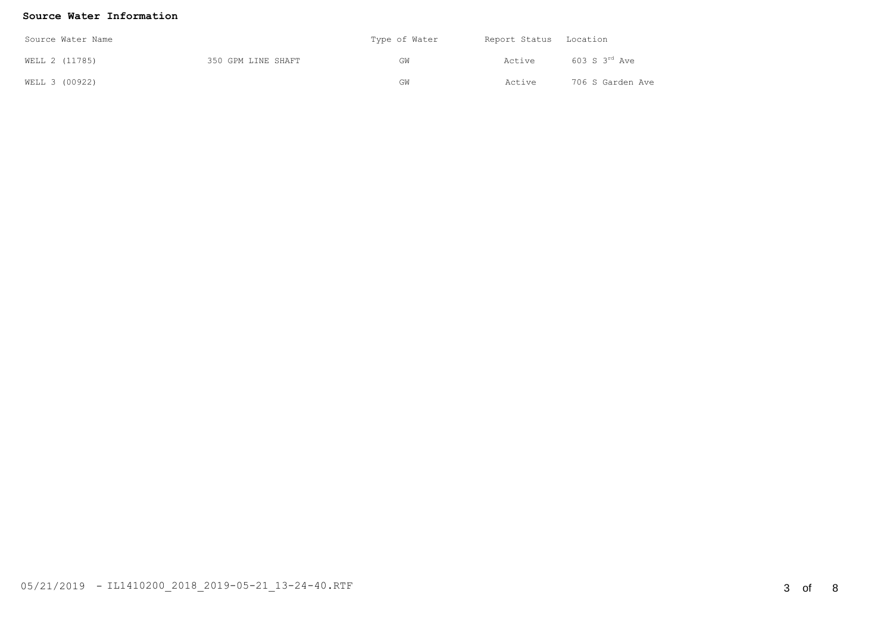## **Source Water Information**

| Source Water Name |  |                    | Type of Water | Report Status Location |                      |  |
|-------------------|--|--------------------|---------------|------------------------|----------------------|--|
| WELL 2 (11785)    |  | 350 GPM LINE SHAFT | GW            | Active                 | $603$ S $3^{rd}$ Ave |  |
| WELL 3 (00922)    |  |                    | GW            | Active                 | 706 S Garden Ave     |  |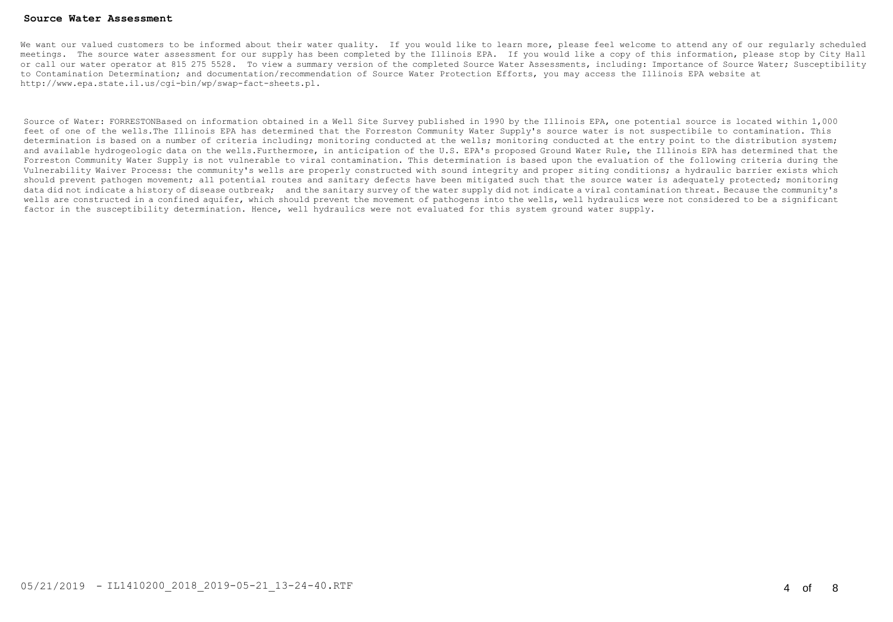#### **Source Water Assessment**

We want our valued customers to be informed about their water quality. If you would like to learn more, please feel welcome to attend any of our reqularly scheduled meetings. The source water assessment for our supply has been completed by the Illinois EPA. If you would like a copy of this information, please stop by City Hall or call our water operator at 815 275 5528. To view a summary version of the completed Source Water Assessments, including: Importance of Source Water; Susceptibility to Contamination Determination; and documentation/recommendation of Source Water Protection Efforts, you may access the Illinois EPA website at http://www.epa.state.il.us/cgi-bin/wp/swap-fact-sheets.pl.

Source of Water: FORRESTONBased on information obtained in a Well Site Survey published in 1990 by the Illinois EPA, one potential source is located within 1,000 feet of one of the wells.The Illinois EPA has determined that the Forreston Community Water Supply's source water is not suspectibile to contamination. This determination is based on a number of criteria including; monitoring conducted at the wells; monitoring conducted at the entry point to the distribution system; and available hydrogeologic data on the wells.Furthermore, in anticipation of the U.S. EPA's proposed Ground Water Rule, the Illinois EPA has determined that the Forreston Community Water Supply is not vulnerable to viral contamination. This determination is based upon the evaluation of the following criteria during the Vulnerability Waiver Process: the community's wells are properly constructed with sound integrity and proper siting conditions; a hydraulic barrier exists which should prevent pathogen movement; all potential routes and sanitary defects have been mitigated such that the source water is adequately protected; monitoring data did not indicate a history of disease outbreak; and the sanitary survey of the water supply did not indicate a viral contamination threat. Because the community's wells are constructed in a confined aquifer, which should prevent the movement of pathogens into the wells, well hydraulics were not considered to be a significant factor in the susceptibility determination. Hence, well hydraulics were not evaluated for this system ground water supply.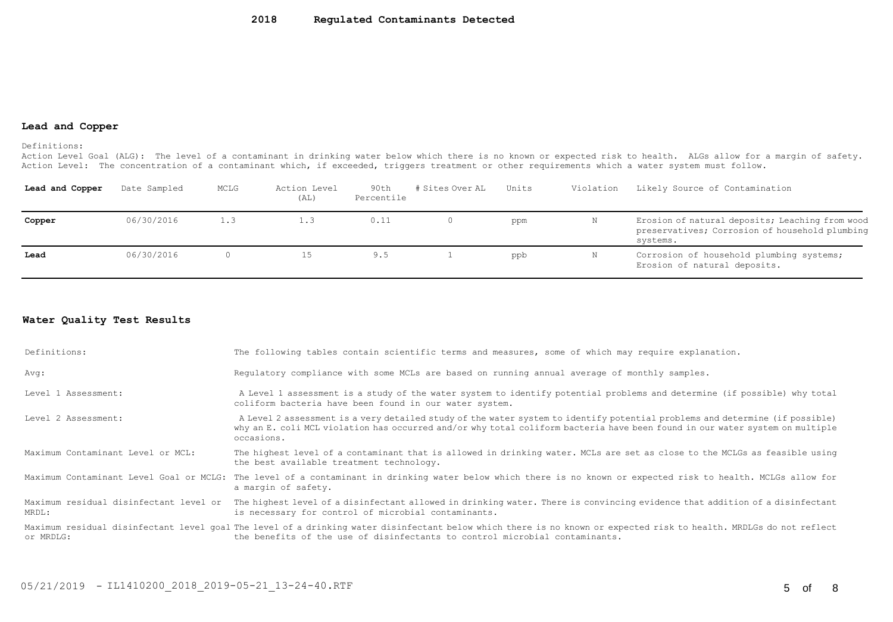#### **Lead and Copper**

Definitions:

Action Level Goal (ALG): The level of a contaminant in drinking water below which there is no known or expected risk to health. ALGs allow for a margin of safety. Action Level: The concentration of a contaminant which, if exceeded, triggers treatment or other requirements which a water system must follow.

| Lead and Copper | Date Sampled | MCLG | Action Level<br>(AL) | 90th<br>Percentile | # Sites Over AL | Units | Violation | Likely Source of Contamination                                                                                |
|-----------------|--------------|------|----------------------|--------------------|-----------------|-------|-----------|---------------------------------------------------------------------------------------------------------------|
| Copper          | 06/30/2016   | 1.3  | 1.3                  | 0.11               |                 | ppm   | N         | Erosion of natural deposits; Leaching from wood<br>preservatives; Corrosion of household plumbing<br>systems. |
| Lead            | 06/30/2016   |      |                      | 9.5                |                 | ppb   | N         | Corrosion of household plumbing systems;<br>Erosion of natural deposits.                                      |

### **Water Quality Test Results**

| Definitions:                      | The following tables contain scientific terms and measures, some of which may require explanation.                                                                                                                                                                         |
|-----------------------------------|----------------------------------------------------------------------------------------------------------------------------------------------------------------------------------------------------------------------------------------------------------------------------|
| Avg:                              | Requlatory compliance with some MCLs are based on running annual average of monthly samples.                                                                                                                                                                               |
| Level 1 Assessment:               | A Level 1 assessment is a study of the water system to identify potential problems and determine (if possible) why total<br>coliform bacteria have been found in our water system.                                                                                         |
| Level 2 Assessment:               | A Level 2 assessment is a very detailed study of the water system to identify potential problems and determine (if possible)<br>why an E. coli MCL violation has occurred and/or why total coliform bacteria have been found in our water system on multiple<br>occasions. |
| Maximum Contaminant Level or MCL: | The highest level of a contaminant that is allowed in drinking water. MCLs are set as close to the MCLGs as feasible using<br>the best available treatment technology.                                                                                                     |
|                                   | Maximum Contaminant Level Goal or MCLG: The level of a contaminant in drinking water below which there is no known or expected risk to health. MCLGs allow for<br>a margin of safety.                                                                                      |
| MRDL:                             | Maximum residual disinfectant level or The highest level of a disinfectant allowed in drinking water. There is convincing evidence that addition of a disinfectant<br>is necessary for control of microbial contaminants.                                                  |
| or MRDLG:                         | Maximum residual disinfectant level qoal The level of a drinking water disinfectant below which there is no known or expected risk to health. MRDLGs do not reflect<br>the benefits of the use of disinfectants to control microbial contaminants.                         |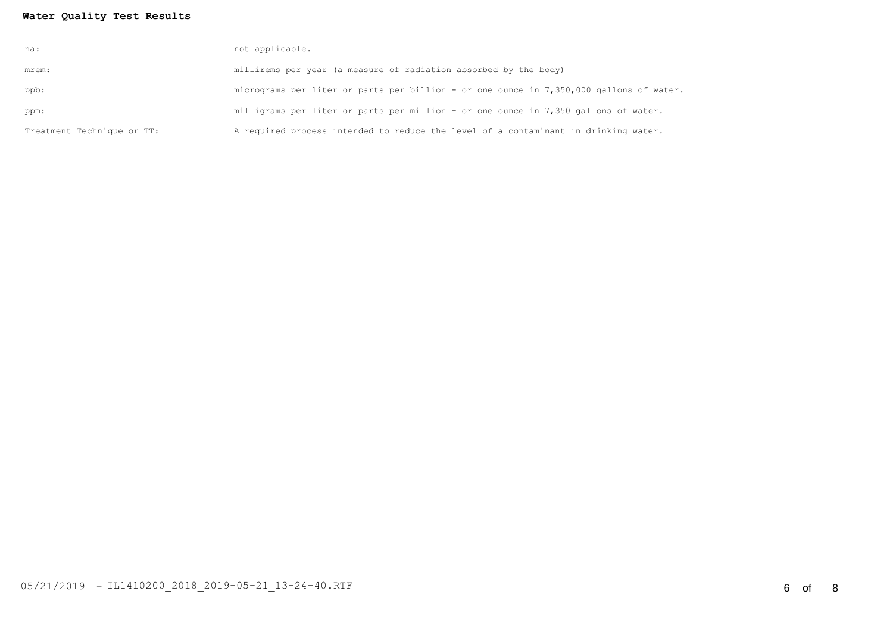# **Water Quality Test Results**

| na:                        | not applicable.                                                                         |
|----------------------------|-----------------------------------------------------------------------------------------|
| mrem:                      | millirems per year (a measure of radiation absorbed by the body)                        |
| ppb:                       | micrograms per liter or parts per billion - or one ounce in 7,350,000 gallons of water. |
| ppm:                       | milligrams per liter or parts per million - or one ounce in 7,350 gallons of water.     |
| Treatment Technique or TT: | A required process intended to reduce the level of a contaminant in drinking water.     |